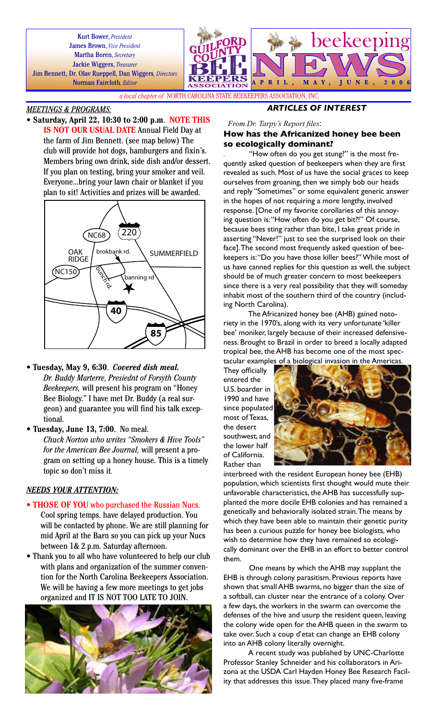Kurt Bower, *President* James Brown, *Vice President* Martha Boren, *Secretary* Jackie Wiggers, *Treasurer* Jim Bennett, Dr. Olav Rueppell, Dan Wiggers*, Directors* Norman Faircloth*, Editor*



*a local chapter of* NORTH CAROLINA STATE BEEKEEPERS ASSOCIATION, INC.

#### *MEETINGS & PROGRAMS:*

#### **• Saturday, April 22, 10:30 to 2:00 p.m**. **NOTE THIS IS NOT OUR USUAL DATE** Annual Field Day at the farm of Jim Bennett. (see map below) The

club will provide hot dogs, hamburgers and fixin's. Members bring own drink, side dish and/or dessert. If you plan on testing, bring your smoker and veil. Everyone...bring your lawn chair or blanket if you plan to sit! Activities and prizes will be awarded.



- **Tuesday, May 9, 6:30**. *Covered dish meal. Dr. Buddy Marterre, Presiednt of Forsyth County Beekeepers,* will present his program on "Honey Bee Biology." I have met Dr. Buddy (a real surgeon) and guarantee you will find his talk exceptional.
- **Tuesday, June 13, 7:00**. No meal.

*Chuck Norton who writes "Smokers & Hive Tools" for the American Bee Journal,* will present a program on setting up a honey house. This is a timely topic so don't miss it*.*

#### *NEEDS YOUR ATTENTION:*

- **THOSE OF YOU** who purchased the Russian Nucs.
	- Cool spring temps. have delayed production. You will be contacted by phone. We are still planning for mid April at the Barn so you can pick up your Nucs between 1& 2 p.m. Saturday afternoon.
- Thank you to all who have volunteered to help our club with plans and organization of the summer convention for the North Carolina Beekeepers Association. We will be having a few more meetings to get jobs organized and IT IS NOT TOO LATE TO JOIN.



## *ARTICLES OF INTEREST*

*From Dr. Tarpy's Report files*:

## **How has the Africanized honey bee been so ecologically dominant?**

"How often do you get stung?" is the most frequently asked question of beekeepers when they are first revealed as such. Most of us have the social graces to keep ourselves from groaning, then we simply bob our heads and reply "Sometimes" or some equivalent generic answer in the hopes of not requiring a more lengthy, involved response. [One of my favorite corollaries of this annoying question is: "How often do you get bit?!" Of course, because bees sting rather than bite, I take great pride in asserting "Never!" just to see the surprised look on their face]. The second most frequently asked question of beekeepers is: "Do you have those killer bees?" While most of us have canned replies for this question as well, the subject should be of much greater concern to most beekeepers since there is a very real possibility that they will someday inhabit most of the southern third of the country (including North Carolina).

The Africanized honey bee (AHB) gained notoriety in the 1970's, along with its very unfortunate 'killer bee' moniker, largely because of their increased defensiveness. Brought to Brazil in order to breed a locally adapted tropical bee, the AHB has become one of the most spectacular examples of a biological invasion in the Americas.

They officially entered the U.S. boarder in 1990 and have since populated most of Texas, the desert southwest, and the lower half of California. Rather than



interbreed with the resident European honey bee (EHB) population, which scientists first thought would mute their unfavorable characteristics, the AHB has successfully supplanted the more docile EHB colonies and has remained a genetically and behaviorally isolated strain. The means by which they have been able to maintain their genetic purity has been a curious puzzle for honey bee biologists, who wish to determine how they have remained so ecologically dominant over the EHB in an effort to better control them.

One means by which the AHB may supplant the EHB is through colony parasitism. Previous reports have shown that small AHB swarms, no bigger than the size of a softball, can cluster near the entrance of a colony. Over a few days, the workers in the swarm can overcome the defenses of the hive and usurp the resident queen, leaving the colony wide open for the AHB queen in the swarm to take over. Such a coup d'etat can change an EHB colony into an AHB colony literally overnight.

A recent study was published by UNC-Charlotte Professor Stanley Schneider and his collaborators in Arizona at the USDA Carl Hayden Honey Bee Research Facility that addresses this issue. They placed many five-frame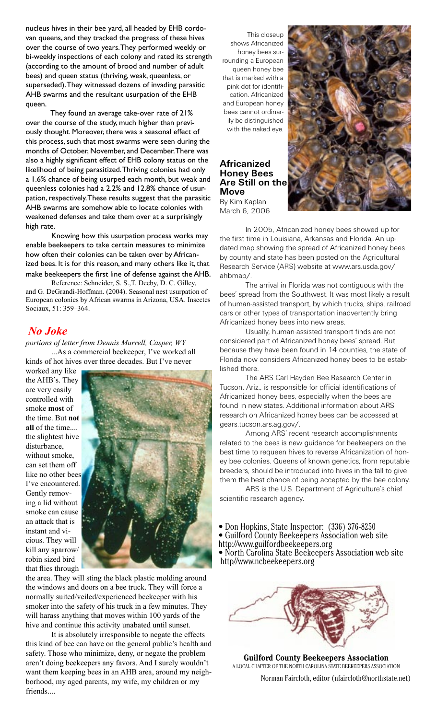nucleus hives in their bee yard, all headed by EHB cordovan queens, and they tracked the progress of these hives over the course of two years. They performed weekly or bi-weekly inspections of each colony and rated its strength (according to the amount of brood and number of adult bees) and queen status (thriving, weak, queenless, or superseded). They witnessed dozens of invading parasitic AHB swarms and the resultant usurpation of the EHB queen.

They found an average take-over rate of 21% over the course of the study, much higher than previously thought. Moreover, there was a seasonal effect of this process, such that most swarms were seen during the months of October, November, and December. There was also a highly significant effect of EHB colony status on the likelihood of being parasitized. Thriving colonies had only a 1.6% chance of being usurped each month, but weak and queenless colonies had a 2.2% and 12.8% chance of usurpation, respectively. These results suggest that the parasitic AHB swarms are somehow able to locate colonies with weakened defenses and take them over at a surprisingly high rate.

Knowing how this usurpation process works may enable beekeepers to take certain measures to minimize how often their colonies can be taken over by Africanized bees. It is for this reason, and many others like it, that make beekeepers the first line of defense against the AHB.

Reference: Schneider, S. S.,T. Deeby, D. C. Gilley, and G. DeGrandi-Hoffman. (2004). Seasonal nest usurpation of European colonies by African swarms in Arizona, USA. Insectes Sociaux, 51: 359–364.

# *No Joke*

*portions of letter from Dennis Murrell, Casper, WY* ...As a commercial beekeeper, I've worked all kinds of hot hives over three decades. But I've never

worked any like the AHB's. They are very easily controlled with smoke **most** of the time. But **not all** of the time.... the slightest hive disturbance, without smoke, can set them off like no other bees I've encountered. Gently removing a lid without smoke can cause an attack that is instant and vicious. They will kill any sparrow/ robin sized bird that flies through



the area. They will sting the black plastic molding around the windows and doors on a bee truck. They will force a normally suited/veiled/experienced beekeeper with his smoker into the safety of his truck in a few minutes. They will harass anything that moves within 100 yards of the hive and continue this activity unabated until sunset.

It is absolutely irresponsible to negate the effects this kind of bee can have on the general public's health and safety. Those who minimize, deny, or negate the problem aren't doing beekeepers any favors. And I surely wouldn't want them keeping bees in an AHB area, around my neighborhood, my aged parents, my wife, my children or my friends....

 This closeup shows Africanized honey bees surrounding a European queen honey bee that is marked with a pink dot for identification. Africanized and European honey bees cannot ordinarily be distinguished with the naked eye.

## **Africanized Honey Bees Are Still on the Move**

By Kim Kaplan March 6, 2006



In 2005, Africanized honey bees showed up for the first time in Louisiana, Arkansas and Florida. An updated map showing the spread of Africanized honey bees by county and state has been posted on the Agricultural Research Service (ARS) website at www.ars.usda.gov/ ahbmap/.

The arrival in Florida was not contiguous with the bees' spread from the Southwest. It was most likely a result of human-assisted transport, by which trucks, ships, railroad cars or other types of transportation inadvertently bring Africanized honey bees into new areas.

Usually, human-assisted transport finds are not considered part of Africanized honey bees' spread. But because they have been found in 14 counties, the state of Florida now considers Africanized honey bees to be established there.

The ARS Carl Hayden Bee Research Center in Tucson, Ariz., is responsible for official identifications of Africanized honey bees, especially when the bees are found in new states. Additional information about ARS research on Africanized honey bees can be accessed at gears.tucson.ars.ag.gov/.

Among ARS' recent research accomplishments related to the bees is new guidance for beekeepers on the best time to requeen hives to reverse Africanization of honey bee colonies. Queens of known genetics, from reputable breeders, should be introduced into hives in the fall to give them the best chance of being accepted by the bee colony.

ARS is the U.S. Department of Agriculture's chief scientific research agency.

- 
- Don Hopkins, State Inspector: (336) 376-8250 Guilford County Beekeepers Association web site
- http://www.guilfordbeekeepers.org

• North Carolina State Beekeepers Association web site http//www.ncbeekeepers.org



**Guilford County Beekeepers Association** A LOCAL CHAPTER OF THE NORTH CAROLINA STATE BEEKEEPERS ASSOCIATION

Norman Faircloth, editor (nfaircloth@northstate.net)